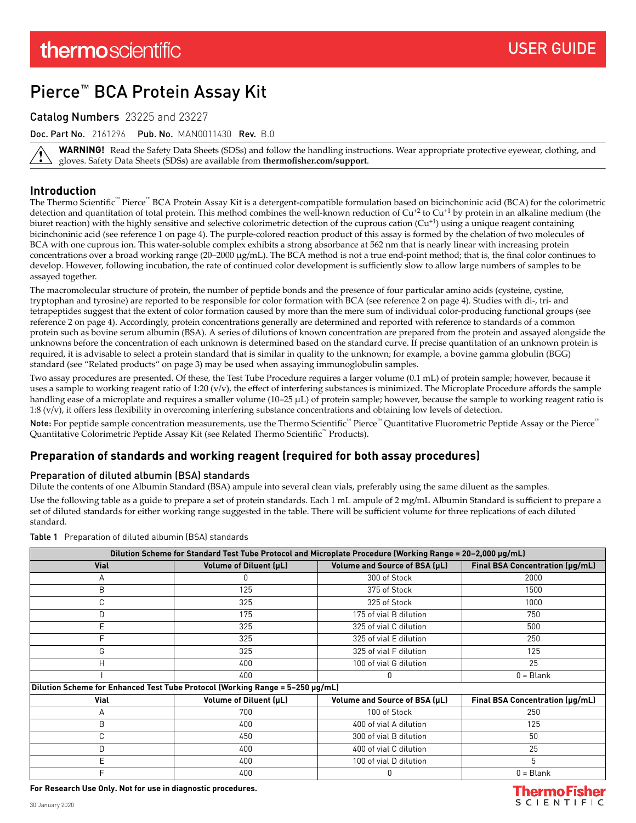Thermo Fisheı **SCIENTIFIC** 

# Pierce™ BCA Protein Assay Kit

## Catalog Numbers 23225 and 23227

Doc. Part No. 2161296 Pub. No. MAN0011430 Rev. B.0

**WARNING!** Read the Safety Data Sheets (SDSs) and follow the handling instructions. Wear appropriate protective eyewear, clothing, and gloves. Safety Data Sheets (SDSs) are available from **thermofisher.com/support**.

## **Introduction**

The Thermo Scientific™ Pierce™ BCA Protein Assay Kit is a detergent-compatible formulation based on bicinchoninic acid (BCA) for the colorimetric detection and quantitation of total protein. This method combines the well-known reduction of  $Cu^{+2}$  to  $Cu^{+1}$  by protein in an alkaline medium (the biuret reaction) with the highly sensitive and selective colorimetric detection of the cuprous cation  $(Cu^{+1})$  using a unique reagent containing bicinchoninic acid (see reference [1 on page 4](#page-3-0)). The purple-colored reaction product of this assay is formed by the chelation of two molecules of BCA with one cuprous ion. This water-soluble complex exhibits a strong absorbance at 562 nm that is nearly linear with increasing protein concentrations over a broad working range (20–2000 µg/mL). The BCA method is not a true end-point method; that is, the final color continues to develop. However, following incubation, the rate of continued color development is sufficiently slow to allow large numbers of samples to be assayed together.

The macromolecular structure of protein, the number of peptide bonds and the presence of four particular amino acids (cysteine, cystine, tryptophan and tyrosine) are reported to be responsible for color formation with BCA (see reference [2 on page 4\)](#page-3-0). Studies with di-, tri- and tetrapeptides suggest that the extent of color formation caused by more than the mere sum of individual color-producing functional groups (see reference [2 on page 4](#page-3-0)). Accordingly, protein concentrations generally are determined and reported with reference to standards of a common protein such as bovine serum albumin (BSA). A series of dilutions of known concentration are prepared from the protein and assayed alongside the unknowns before the concentration of each unknown is determined based on the standard curve. If precise quantitation of an unknown protein is required, it is advisable to select a protein standard that is similar in quality to the unknown; for example, a bovine gamma globulin (BGG) standard (see ["Related products" on page 3](#page-2-0)) may be used when assaying immunoglobulin samples.

Two assay procedures are presented. Of these, the Test Tube Procedure requires a larger volume (0.1 mL) of protein sample; however, because it uses a sample to working reagent ratio of 1:20 (v/v), the effect of interfering substances is minimized. The Microplate Procedure affords the sample handling ease of a microplate and requires a smaller volume (10–25 µL) of protein sample; however, because the sample to working reagent ratio is 1:8 (v/v), it offers less flexibility in overcoming interfering substance concentrations and obtaining low levels of detection.

Note: For peptide sample concentration measurements, use the Thermo Scientific™ Pierce™ Quantitative Fluorometric Peptide Assay or the Pierce™ Quantitative Colorimetric Peptide Assay Kit (see Related Thermo Scientific™ Products).

# **Preparation of standards and working reagent (required for both assay procedures)**

#### Preparation of diluted albumin (BSA) standards

Dilute the contents of one Albumin Standard (BSA) ampule into several clean vials, preferably using the same diluent as the samples.

Use the following table as a guide to prepare a set of protein standards. Each 1 mL ampule of 2 mg/mL Albumin Standard is sufficent to prepare a set of diluted standards for either working range suggested in the table. There will be sufficient volume for three replications of each diluted standard.

| Dilution Scheme for Standard Test Tube Protocol and Microplate Procedure (Working Range = 20-2,000 µg/mL) |                        |                               |                                        |  |
|-----------------------------------------------------------------------------------------------------------|------------------------|-------------------------------|----------------------------------------|--|
| <b>Vial</b>                                                                                               | Volume of Diluent (µL) | Volume and Source of BSA (µL) | <b>Final BSA Concentration (µg/mL)</b> |  |
| A                                                                                                         |                        | 300 of Stock                  | 2000                                   |  |
| B                                                                                                         | 125                    | 375 of Stock                  | 1500                                   |  |
| С                                                                                                         | 325                    | 325 of Stock                  | 1000                                   |  |
| D                                                                                                         | 175                    | 175 of vial B dilution        | 750                                    |  |
| Е                                                                                                         | 325                    | 325 of vial C dilution        | 500                                    |  |
|                                                                                                           | 325                    | 325 of vial E dilution        | 250                                    |  |
| G                                                                                                         | 325                    | 325 of vial F dilution        | 125                                    |  |
| Н                                                                                                         | 400                    | 100 of vial G dilution        | 25                                     |  |
|                                                                                                           | 400                    | n                             | $0 = Blank$                            |  |
| Dilution Scheme for Enhanced Test Tube Protocol (Working Range = 5-250 µg/mL)                             |                        |                               |                                        |  |
| Vial                                                                                                      | Volume of Diluent (µL) | Volume and Source of BSA (µL) | <b>Final BSA Concentration (µg/mL)</b> |  |
| A                                                                                                         | 700                    | 100 of Stock                  | 250                                    |  |
| B                                                                                                         | 400                    | 400 of vial A dilution        | 125                                    |  |
| С                                                                                                         | 450                    | 300 of vial B dilution        | 50                                     |  |
| D                                                                                                         | 400                    | 400 of vial C dilution        | 25                                     |  |
| E                                                                                                         | 400                    | 100 of vial D dilution        | 5                                      |  |
|                                                                                                           | 400                    |                               | $0 = Blank$                            |  |

Table 1 Preparation of diluted albumin (BSA) standards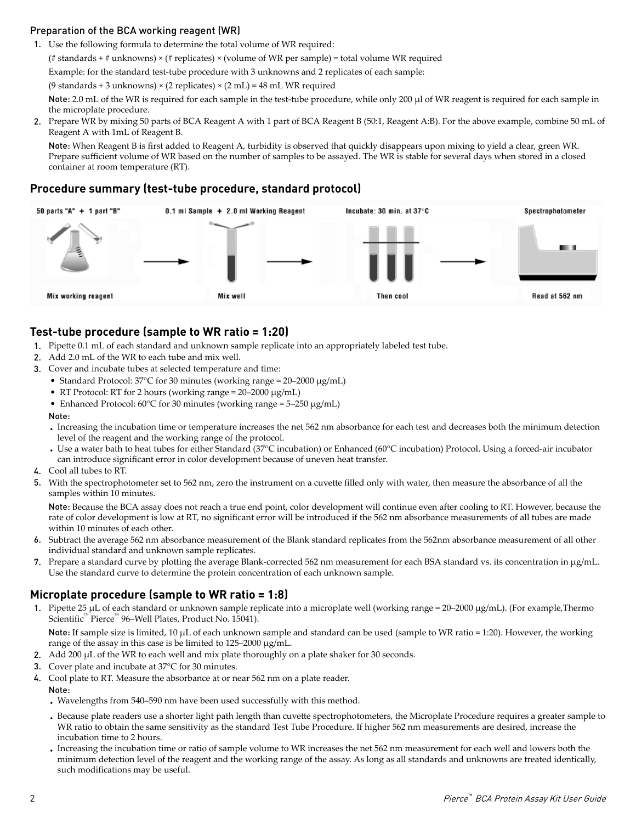# Preparation of the BCA working reagent (WR)

1. Use the following formula to determine the total volume of WR required:

(# standards + # unknowns)  $\times$  (# replicates)  $\times$  (volume of WR per sample) = total volume WR required

Example: for the standard test-tube procedure with 3 unknowns and 2 replicates of each sample:

(9 standards + 3 unknowns)  $\times$  (2 replicates)  $\times$  (2 mL) = 48 mL WR required

Note: 2.0 mL of the WR is required for each sample in the test-tube procedure, while only 200 µl of WR reagent is required for each sample in the microplate procedure.

2. Prepare WR by mixing 50 parts of BCA Reagent A with 1 part of BCA Reagent B (50:1, Reagent A:B). For the above example, combine 50 mL of Reagent A with 1mL of Reagent B.

Note: When Reagent B is first added to Reagent A, turbidity is observed that quickly disappears upon mixing to yield a clear, green WR. Prepare sufficent volume of WR based on the number of samples to be assayed. The WR is stable for several days when stored in a closed container at room temperature (RT).

# **Procedure summary (test-tube procedure, standard protocol)**



# **Test-tube procedure (sample to WR ratio = 1:20)**

- 1. Pipette 0.1 mL of each standard and unknown sample replicate into an appropriately labeled test tube.
- 2. Add 2.0 mL of the WR to each tube and mix well.
- 3. Cover and incubate tubes at selected temperature and time:
	- Standard Protocol: 37°C for 30 minutes (working range = 20–2000 µg/mL)
	- RT Protocol: RT for 2 hours (working range = 20–2000 µg/mL)
	- Enhanced Protocol: 60°C for 30 minutes (working range = 5–250 µg/mL)

Note:

- **·** Increasing the incubation time or temperature increases the net 562 nm absorbance for each test and decreases both the minimum detection level of the reagent and the working range of the protocol.
- **·** Use a water bath to heat tubes for either Standard (37°C incubation) or Enhanced (60°C incubation) Protocol. Using a forced-air incubator can introduce significant error in color development because of uneven heat transfer.
- 4. Cool all tubes to RT.
- 5. With the spectrophotometer set to 562 nm, zero the instrument on a cuvette filled only with water, then measure the absorbance of all the samples within 10 minutes.

Note: Because the BCA assay does not reach a true end point, color development will continue even after cooling to RT. However, because the rate of color development is low at RT, no significant error will be introduced if the 562 nm absorbance measurements of all tubes are made within 10 minutes of each other.

- 6. Subtract the average 562 nm absorbance measurement of the Blank standard replicates from the 562nm absorbance measurement of all other individual standard and unknown sample replicates.
- 7. Prepare a standard curve by plotting the average Blank-corrected 562 nm measurement for each BSA standard vs. its concentration in  $\mu$ g/mL. Use the standard curve to determine the protein concentration of each unknown sample.

# **Microplate procedure (sample to WR ratio = 1:8)**

1. Pipette 25 µL of each standard or unknown sample replicate into a microplate well (working range = 20-2000 µg/mL). (For example, Thermo Scientific<sup>™</sup> Pierce<sup>™</sup> 96–Well Plates, Product No. 15041).

Note: If sample size is limited, 10  $\mu$ L of each unknown sample and standard can be used (sample to WR ratio = 1:20). However, the working range of the assay in this case is be limited to 125–2000 µg/mL.

- 2. Add 200  $\mu$ L of the WR to each well and mix plate thoroughly on a plate shaker for 30 seconds.
- 3. Cover plate and incubate at 37°C for 30 minutes.
- 4. Cool plate to RT. Measure the absorbance at or near 562 nm on a plate reader. Note:
	- **·** Wavelengths from 540–590 nm have been used successfully with this method.
	- Because plate readers use a shorter light path length than cuvette spectrophotometers, the Microplate Procedure requires a greater sample to WR ratio to obtain the same sensitivity as the standard Test Tube Procedure. If higher 562 nm measurements are desired, increase the incubation time to 2 hours.
	- **·** Increasing the incubation time or ratio of sample volume to WR increases the net 562 nm measurement for each well and lowers both the minimum detection level of the reagent and the working range of the assay. As long as all standards and unknowns are treated identically, such modifications may be useful.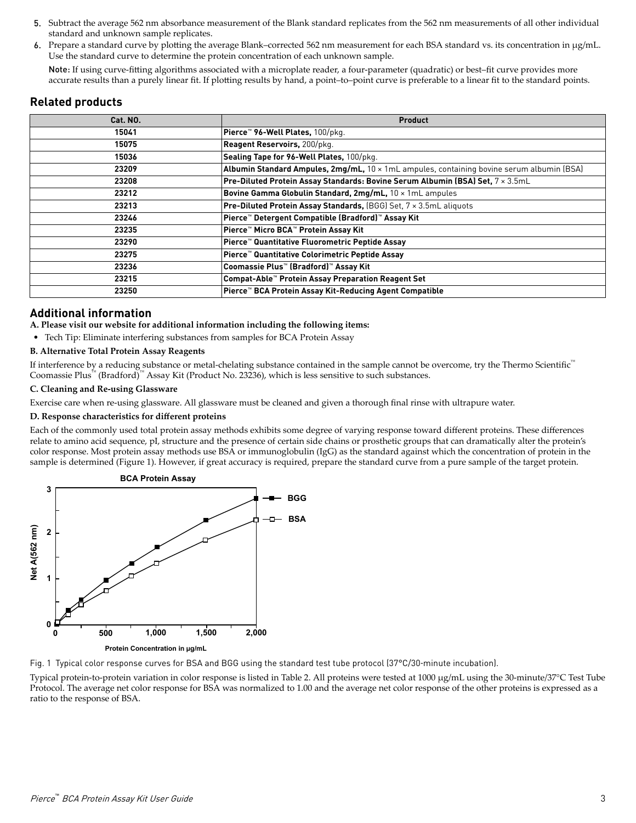- <span id="page-2-0"></span>5. Subtract the average 562 nm absorbance measurement of the Blank standard replicates from the 562 nm measurements of all other individual standard and unknown sample replicates.
- 6. Prepare a standard curve by plotting the average Blank–corrected 562 nm measurement for each BSA standard vs. its concentration in  $\mu$ g/mL. Use the standard curve to determine the protein concentration of each unknown sample.

Note: If using curve-fitting algorithms associated with a microplate reader, a four-parameter (quadratic) or best-fit curve provides more accurate results than a purely linear fit. If plotting results by hand, a point-to-point curve is preferable to a linear fit to the standard points.

#### **Related products**

| Cat. NO. | <b>Product</b>                                                                            |
|----------|-------------------------------------------------------------------------------------------|
| 15041    | Pierce™ 96-Well Plates, 100/pkg.                                                          |
| 15075    | Reagent Reservoirs, 200/pkg.                                                              |
| 15036    | Sealing Tape for 96-Well Plates, 100/pkg.                                                 |
| 23209    | Albumin Standard Ampules, 2mg/mL, 10 x 1mL ampules, containing bovine serum albumin (BSA) |
| 23208    | Pre-Diluted Protein Assay Standards: Bovine Serum Albumin (BSA) Set, 7 x 3.5mL            |
| 23212    | Bovine Gamma Globulin Standard, 2mg/mL, 10 x 1mL ampules                                  |
| 23213    | <b>Pre-Diluted Protein Assay Standards, (BGG) Set, 7 x 3.5mL aliquots</b>                 |
| 23246    | Pierce™ Detergent Compatible (Bradford)™ Assay Kit                                        |
| 23235    | Pierce™ Micro BCA™ Protein Assay Kit                                                      |
| 23290    | Pierce™ Quantitative Fluorometric Peptide Assay                                           |
| 23275    | Pierce™ Quantitative Colorimetric Peptide Assay                                           |
| 23236    | Coomassie Plus™ (Bradford)™ Assay Kit                                                     |
| 23215    | Compat-Able™ Protein Assay Preparation Reagent Set                                        |
| 23250    | Pierce <sup>*</sup> BCA Protein Assay Kit-Reducing Agent Compatible                       |

## **Additional information**

**A. Please visit our website for additional information including the following items:**

• Tech Tip: Eliminate interfering substances from samples for BCA Protein Assay

#### **B. Alternative Total Protein Assay Reagents**

If interference by a reducing substance or metal-chelating substance contained in the sample cannot be overcome, try the Thermo Scientific<sup>™</sup> Coomassie Plus™ (Bradford)™ Assay Kit (Product No. 23236), which is less sensitive to such substances.

#### **C. Cleaning and Re-using Glassware**

Exercise care when re-using glassware. All glassware must be cleaned and given a thorough final rinse with ultrapure water.

#### **D. Response characteristics for diěerent proteins**

Each of the commonly used total protein assay methods exhibits some degree of varying response toward dfferent proteins. These dfferences relate to amino acid sequence, pI, structure and the presence of certain side chains or prosthetic groups that can dramatically alter the protein's color response. Most protein assay methods use BSA or immunoglobulin (IgG) as the standard against which the concentration of protein in the sample is determined (Figure 1). However, if great accuracy is required, prepare the standard curve from a pure sample of the target protein.



Fig. 1 Typical color response curves for BSA and BGG using the standard test tube protocol (37°C/30‑minute incubation).

Typical protein-to-protein variation in color response is listed in [Table 2](#page-3-0). All proteins were tested at 1000 µg/mL using the 30-minute/37°C Test Tube Protocol. The average net color response for BSA was normalized to 1.00 and the average net color response of the other proteins is expressed as a ratio to the response of BSA.